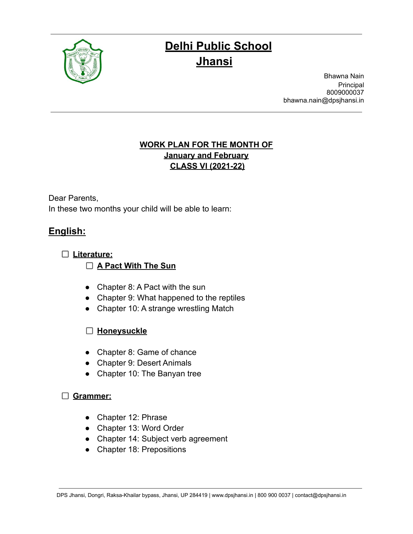

Bhawna Nain Principal 8009000037 bhawna.nain@dpsjhansi.in

#### **WORK PLAN FOR THE MONTH OF January and February CLASS VI (2021-22)**

Dear Parents, In these two months your child will be able to learn:

### **English:**

**Literature:**

#### **A Pact With The Sun**

- Chapter 8: A Pact with the sun
- Chapter 9: What happened to the reptiles
- Chapter 10: A strange wrestling Match

#### **Honeysuckle**

- Chapter 8: Game of chance
- Chapter 9: Desert Animals
- Chapter 10: The Banyan tree

#### **Grammer:**

- Chapter 12: Phrase
- Chapter 13: Word Order
- Chapter 14: Subject verb agreement
- Chapter 18: Prepositions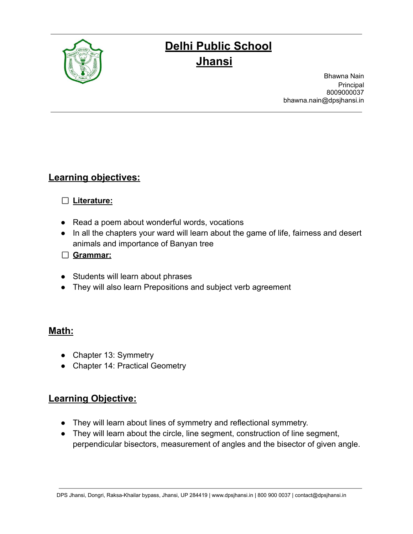

Bhawna Nain Principal 8009000037 bhawna.nain@dpsjhansi.in

#### **Learning objectives:**

#### **Literature:**

- Read a poem about wonderful words, vocations
- In all the chapters your ward will learn about the game of life, fairness and desert animals and importance of Banyan tree
- **Grammar:**
- Students will learn about phrases
- They will also learn Prepositions and subject verb agreement

#### **Math:**

- Chapter 13: Symmetry
- Chapter 14: Practical Geometry

#### **Learning Objective:**

- They will learn about lines of symmetry and reflectional symmetry.
- They will learn about the circle, line segment, construction of line segment, perpendicular bisectors, measurement of angles and the bisector of given angle.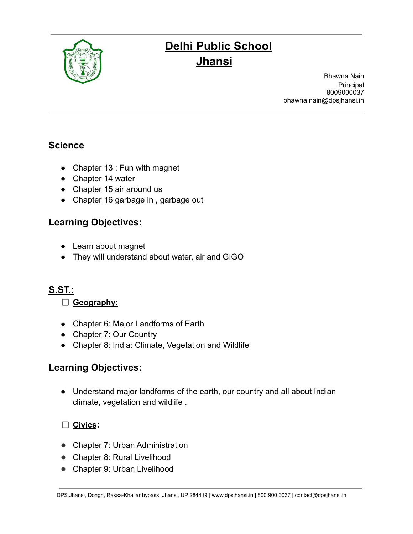

Bhawna Nain Principal 8009000037 bhawna.nain@dpsjhansi.in

### **Science**

- Chapter 13 : Fun with magnet
- Chapter 14 water
- Chapter 15 air around us
- Chapter 16 garbage in , garbage out

#### **Learning Objectives:**

- Learn about magnet
- They will understand about water, air and GIGO

### **S.ST.:**

- **Geography:**
- Chapter 6: Major Landforms of Earth
- Chapter 7: Our Country
- Chapter 8: India: Climate, Vegetation and Wildlife

#### **Learning Objectives:**

• Understand major landforms of the earth, our country and all about Indian climate, vegetation and wildlife .

#### **Civics:**

- Chapter 7: Urban Administration
- Chapter 8: Rural Livelihood
- Chapter 9: Urban Livelihood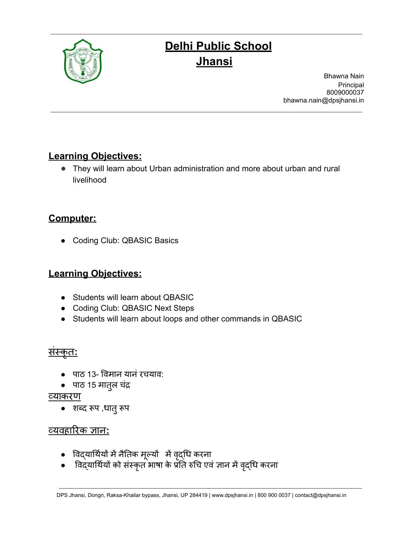

Bhawna Nain Principal 8009000037 bhawna.nain@dpsjhansi.in

#### **Learning Objectives:**

● They will learn about Urban administration and more about urban and rural livelihood

#### **Computer:**

● Coding Club: QBASIC Basics

### **Learning Objectives:**

- Students will learn about QBASIC
- Coding Club: QBASIC Next Steps
- Students will learn about loops and other commands in QBASIC

### <u>संस्कृत:</u>

- पाठ 13- विमान यानं रचयाव:
- पाठ 15 मातूल चंद्र

#### व्याकरण

● शब्द रूप ,धातुरूप

#### <u>व्यवहारिक ज्ञान:</u>

- विद्यार्थियों में नैतिक मूल्यों में वृद्धि करना
- विद्यार्थियर्थि ों को संस्कृत भाषा के प्रति रुचि एवं ज्ञान मेंवद्ृधि करना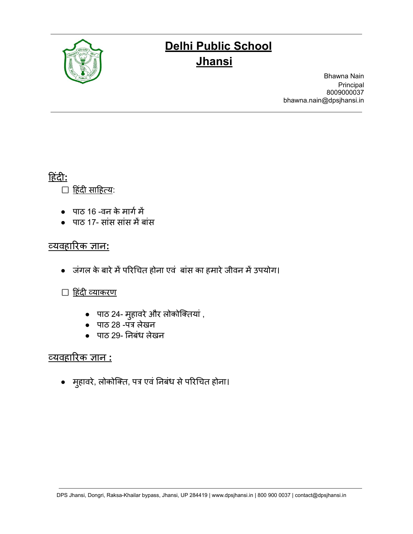

Bhawna Nain Principal 8009000037 bhawna.nain@dpsjhansi.in

#### <u>हिंदी:</u>

 $\Box$  हिंदी साहित्य:

- पाठ 16 -वन के मार्ग में
- पाठ 17- सांस सांस मेंबांस

#### <u>व्यवहारिक ज्ञान:</u>

● जंगल के बारेमेंपरिचित होना एवं बांस का हमारेजीवन मेंउपयोग।

#### □ हिंदी व्याकरण

- पाठ 24- महावर ु ेऔर लोकोक्तियां ,
- पाठ 28 -पत्र लेखन
- पाठ 29- निबंध लेखन

#### <u>व्यवहारिक ज्ञान :</u>

• मुहावरे, लोकोक्ति, पत्र एवं निबंध से परिचित होना।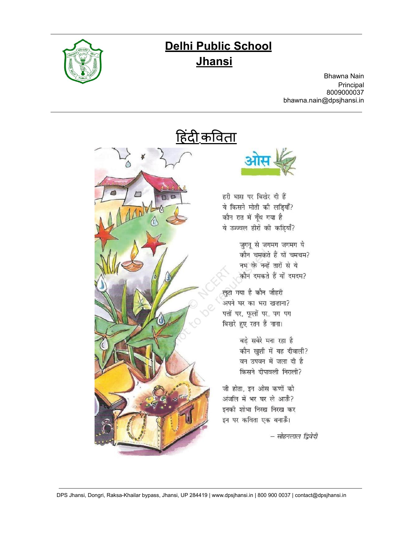

Bhawna Nain Principal 8009000037 bhawna.nain@dpsjhansi.in





हरी घास पर बिखेर दी हैं ये किसने मोती की लड़ियाँ? कौन रात में गूँथ गया है ये उज्ज्वल हीरों की कड़ियाँ?

> जुगनू से जगमग जगमग ये कौन चमकते हैं यों चमचम? नभ के नन्हें तारों से ये कौन दमकते हैं यों दमदम?

लुटा गया है कौन जौहरी अपने घर का भरा खजाना? पत्तों पर, फूलों पर, पग पग बिखरे हुए रतन हैं नाना।

> बड़े सबेरे मना रहा है कौन खुशी में यह दीवाली? वन उपवन में जला दी है किसने दीपावली निराली?

जी होता, इन ओस कणों को अंजलि में भर घर ले आऊँ? इनकी शोभा निरख निरख कर इन पर कविता एक बनाऊँ।

– सोहनलाल द्विवेदी